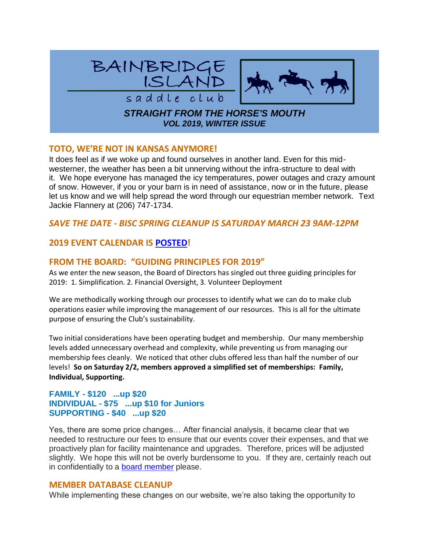

### **TOTO, WE'RE NOT IN KANSAS ANYMORE!**

It does feel as if we woke up and found ourselves in another land. Even for this midwesterner, the weather has been a bit unnerving without the infra-structure to deal with it. We hope everyone has managed the icy temperatures, power outages and crazy amount of snow. However, if you or your barn is in need of assistance, now or in the future, please let us know and we will help spread the word through our equestrian member network. Text Jackie Flannery at (206) 747-1734.

# *SAVE THE DATE - BISC SPRING CLEANUP IS SATURDAY MARCH 23 9AM-12PM*

# **2019 EVENT CALENDAR IS [POSTED!](https://www.bainbridgesaddleclub.org/EmailTracker/LinkTracker.ashx?linkAndRecipientCode=R61iiNLjjEbGP0mEWRiE4edfWakTP8GYX8NYvW9yjKROqihhonjVZRjBGmos222TC4e7heHPCsl%2fmd%2fqS7t5iFuyhy3CUh0kd7D2Ypaj0EE%3d)**

### **FROM THE BOARD: "GUIDING PRINCIPLES FOR 2019"**

As we enter the new season, the Board of Directors has singled out three guiding principles for 2019: 1. Simplification. 2. Financial Oversight, 3. Volunteer Deployment

We are methodically working through our processes to identify what we can do to make club operations easier while improving the management of our resources. This is all for the ultimate purpose of ensuring the Club's sustainability.

Two initial considerations have been operating budget and membership. Our many membership levels added unnecessary overhead and complexity, while preventing us from managing our membership fees cleanly. We noticed that other clubs offered less than half the number of our levels! **So on Saturday 2/2, members approved a simplified set of memberships: Family, Individual, Supporting.**

### **FAMILY - \$120 ...up \$20 INDIVIDUAL - \$75 ...up \$10 for Juniors SUPPORTING - \$40 ...up \$20**

Yes, there are some price changes… After financial analysis, it became clear that we needed to restructure our fees to ensure that our events cover their expenses, and that we proactively plan for facility maintenance and upgrades. Therefore, prices will be adjusted slightly. We hope this will not be overly burdensome to you. If they are, certainly reach out in confidentially to a **[board member](https://www.bainbridgesaddleclub.org/EmailTracker/LinkTracker.ashx?linkAndRecipientCode=e4T3E003fC3iuyTZj2Ll%2bfbPn%2bnCjbIq0cJseKn5uyn9ZtKzwFtujy4sGdlgMcdpSUfkm96Alxh6Av9bD0mRAUKyNW%2f1QXWU8Ol1LprQblw%3d)** please.

### **MEMBER DATABASE CLEANUP**

While implementing these changes on our website, we're also taking the opportunity to